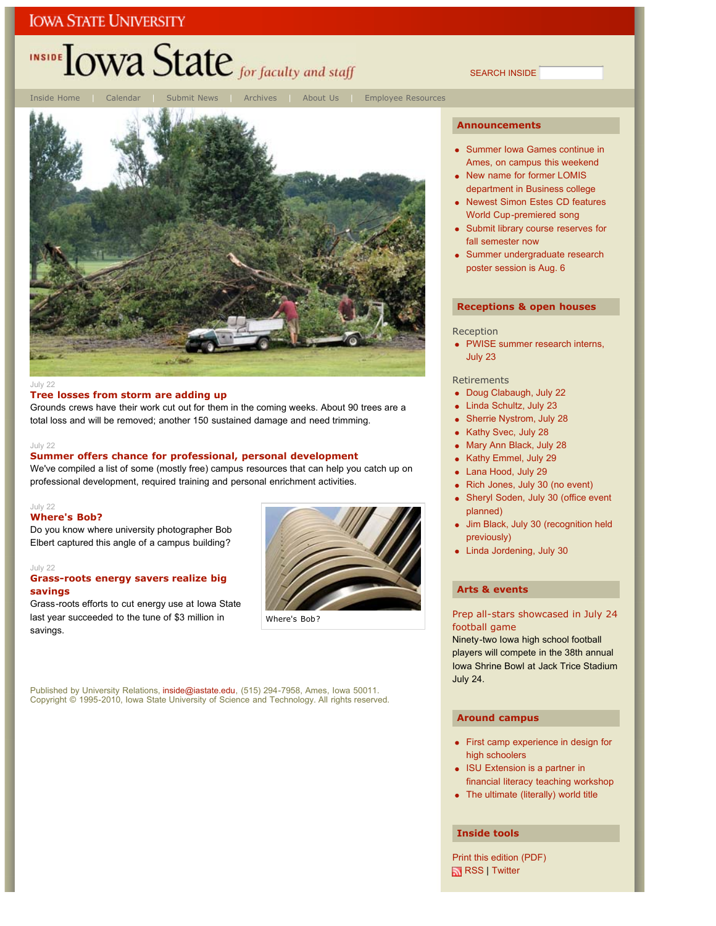## INSIDE TOWA State for faculty and staff

Inside Home | Calendar | Submit News | Archives | About Us | Employee Resources



### July 22

### **Tree losses from storm are adding up**

Grounds crews have their work cut out for them in the coming weeks. About 90 trees are a total loss and will be removed; another 150 sustained damage and need trimming.

#### July 22

### **Summer offers chance for professional, personal development**

We've compiled a list of some (mostly free) campus resources that can help you catch up on professional development, required training and personal enrichment activities.

#### July 22 **Where's Bob?**

Do you know where university photographer Bob Elbert captured this angle of a campus building?

### July 22

### **Grass-roots energy savers realize big savings**

Grass-roots efforts to cut energy use at Iowa State last year succeeded to the tune of \$3 million in savings.



#### **Announcements**

SEARCH INSIDE

- Summer Iowa Games continue in Ames, on campus this weekend
- New name for former LOMIS department in Business college
- Newest Simon Estes CD features World Cup-premiered song
- Submit library course reserves for fall semester now
- Summer undergraduate research poster session is Aug. 6

#### **Receptions & open houses**

#### Reception

PWISE summer research interns, July 23

#### Retirements

- Doug Clabaugh, July 22  $\bullet$
- Linda Schultz, July 23  $\bullet$
- Sherrie Nystrom, July 28
- Kathy Svec, July 28
- Mary Ann Black, July 28
- Kathy Emmel, July 29  $\bullet$
- Lana Hood, July 29
- Rich Jones, July 30 (no event)
- Sheryl Soden, July 30 (office event ä planned)
- Jim Black, July 30 (recognition held previously)
- Linda Jordening, July 30

### **Arts & events**

### Prep all-stars showcased in July 24 football game

Ninety-two Iowa high school football players will compete in the 38th annual Iowa Shrine Bowl at Jack Trice Stadium July 24.

### **Around campus**

- First camp experience in design for high schoolers
- ISU Extension is a partner in financial literacy teaching workshop
- The ultimate (literally) world title

#### **Inside tools**

Print this edition (PDF) RSS | Twitter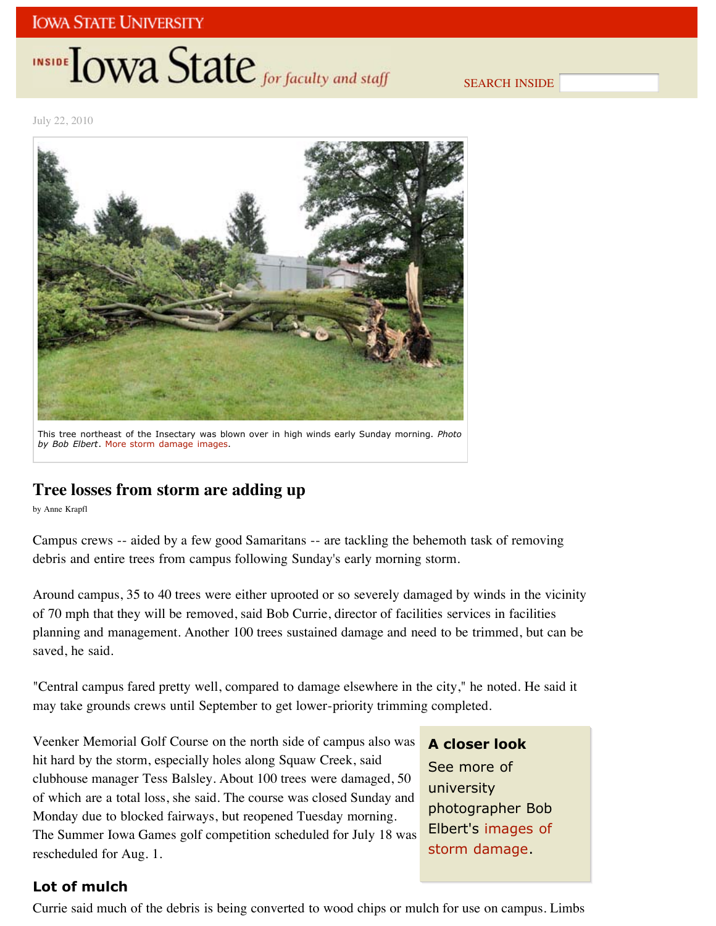# INSIDE **LOWA State** for faculty and staff

SEARCH INSIDE

July 22, 2010



This tree northeast of the Insectary was blown over in high winds early Sunday morning. *Photo by Bob Elbert*. More storm damage images.

## **Tree losses from storm are adding up**

by Anne Krapfl

Campus crews -- aided by a few good Samaritans -- are tackling the behemoth task of removing debris and entire trees from campus following Sunday's early morning storm.

Around campus, 35 to 40 trees were either uprooted or so severely damaged by winds in the vicinity of 70 mph that they will be removed, said Bob Currie, director of facilities services in facilities planning and management. Another 100 trees sustained damage and need to be trimmed, but can be saved, he said.

"Central campus fared pretty well, compared to damage elsewhere in the city," he noted. He said it may take grounds crews until September to get lower-priority trimming completed.

Veenker Memorial Golf Course on the north side of campus also was hit hard by the storm, especially holes along Squaw Creek, said clubhouse manager Tess Balsley. About 100 trees were damaged, 50 of which are a total loss, she said. The course was closed Sunday and Monday due to blocked fairways, but reopened Tuesday morning. The Summer Iowa Games golf competition scheduled for July 18 was rescheduled for Aug. 1.

**A closer look**

See more of university photographer Bob Elbert's images of storm damage.

### **Lot of mulch**

Currie said much of the debris is being converted to wood chips or mulch for use on campus. Limbs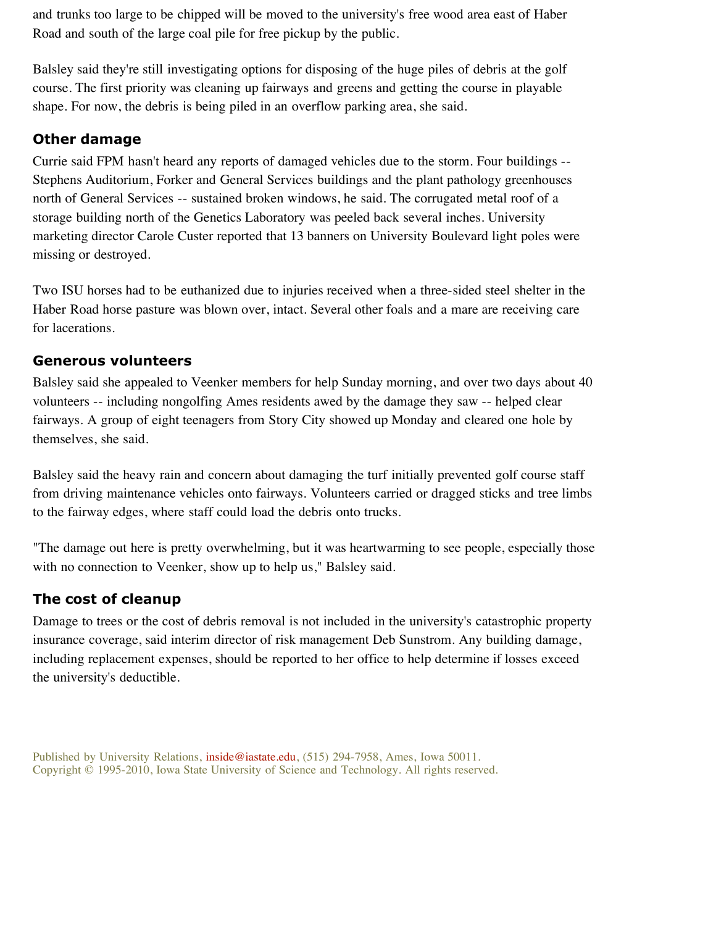and trunks too large to be chipped will be moved to the university's free wood area east of Haber Road and south of the large coal pile for free pickup by the public.

Balsley said they're still investigating options for disposing of the huge piles of debris at the golf course. The first priority was cleaning up fairways and greens and getting the course in playable shape. For now, the debris is being piled in an overflow parking area, she said.

### **Other damage**

Currie said FPM hasn't heard any reports of damaged vehicles due to the storm. Four buildings -- Stephens Auditorium, Forker and General Services buildings and the plant pathology greenhouses north of General Services -- sustained broken windows, he said. The corrugated metal roof of a storage building north of the Genetics Laboratory was peeled back several inches. University marketing director Carole Custer reported that 13 banners on University Boulevard light poles were missing or destroyed.

Two ISU horses had to be euthanized due to injuries received when a three-sided steel shelter in the Haber Road horse pasture was blown over, intact. Several other foals and a mare are receiving care for lacerations.

## **Generous volunteers**

Balsley said she appealed to Veenker members for help Sunday morning, and over two days about 40 volunteers -- including nongolfing Ames residents awed by the damage they saw -- helped clear fairways. A group of eight teenagers from Story City showed up Monday and cleared one hole by themselves, she said.

Balsley said the heavy rain and concern about damaging the turf initially prevented golf course staff from driving maintenance vehicles onto fairways. Volunteers carried or dragged sticks and tree limbs to the fairway edges, where staff could load the debris onto trucks.

"The damage out here is pretty overwhelming, but it was heartwarming to see people, especially those with no connection to Veenker, show up to help us," Balsley said.

## **The cost of cleanup**

Damage to trees or the cost of debris removal is not included in the university's catastrophic property insurance coverage, said interim director of risk management Deb Sunstrom. Any building damage, including replacement expenses, should be reported to her office to help determine if losses exceed the university's deductible.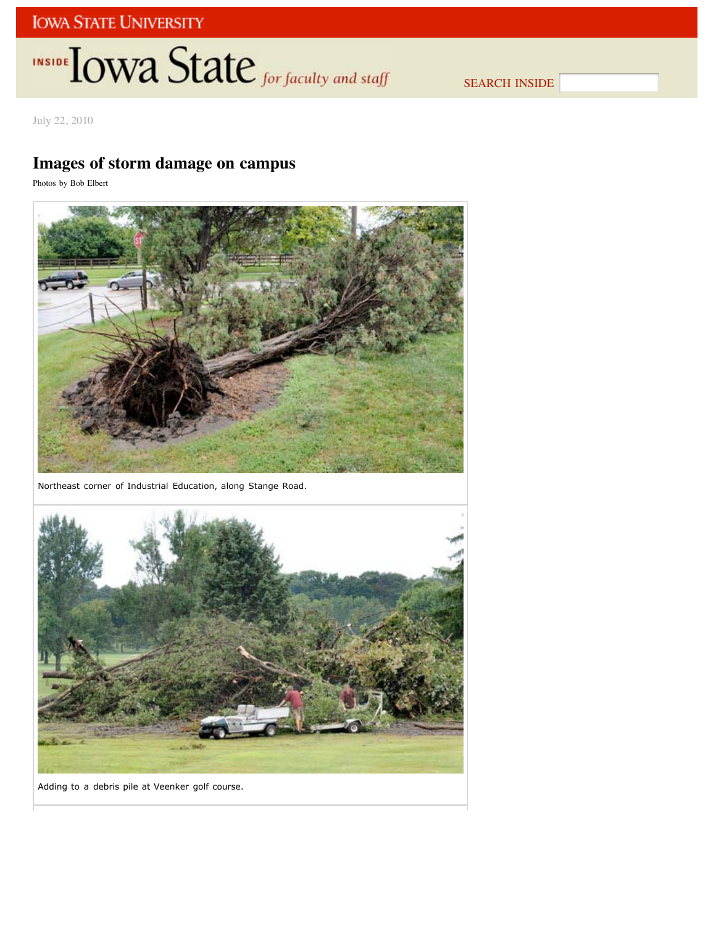# INSIDE TOWA State for faculty and staff

SEARCH INSIDE

July 22, 2010

## **Images of storm damage on campus**

Photos by Bob Elbert



Northeast corner of Industrial Education, along Stange Road.



Adding to a debris pile at Veenker golf course.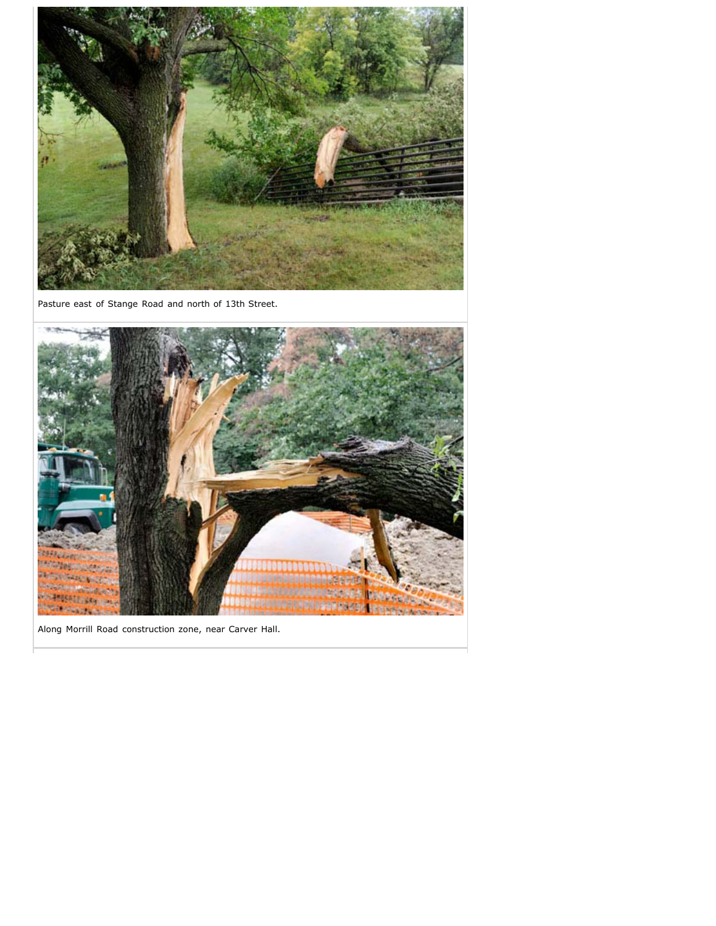

Pasture east of Stange Road and north of 13th Street.



Along Morrill Road construction zone, near Carver Hall.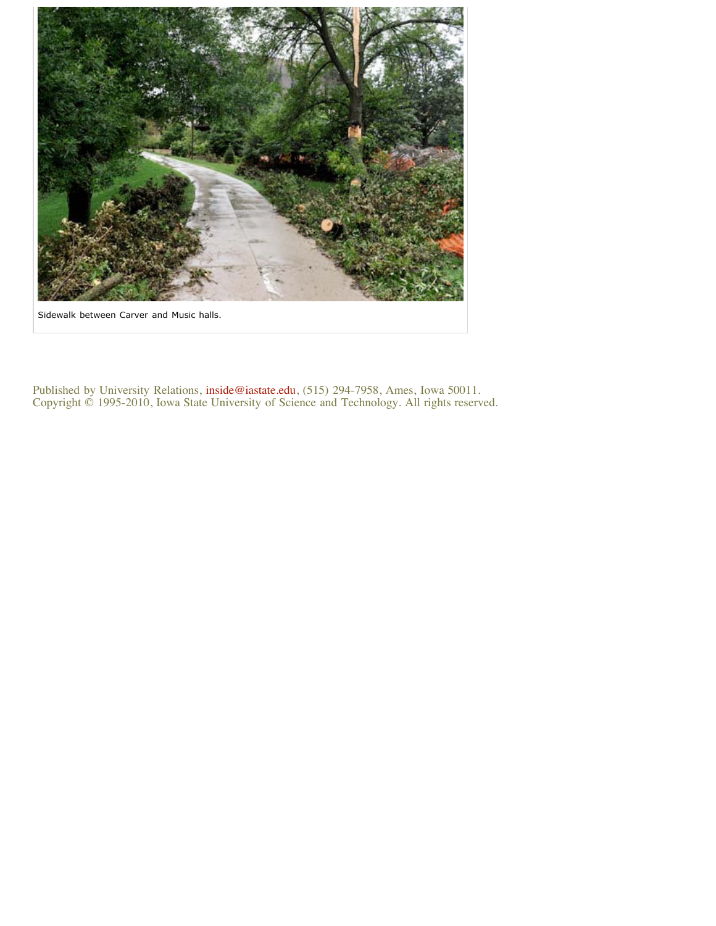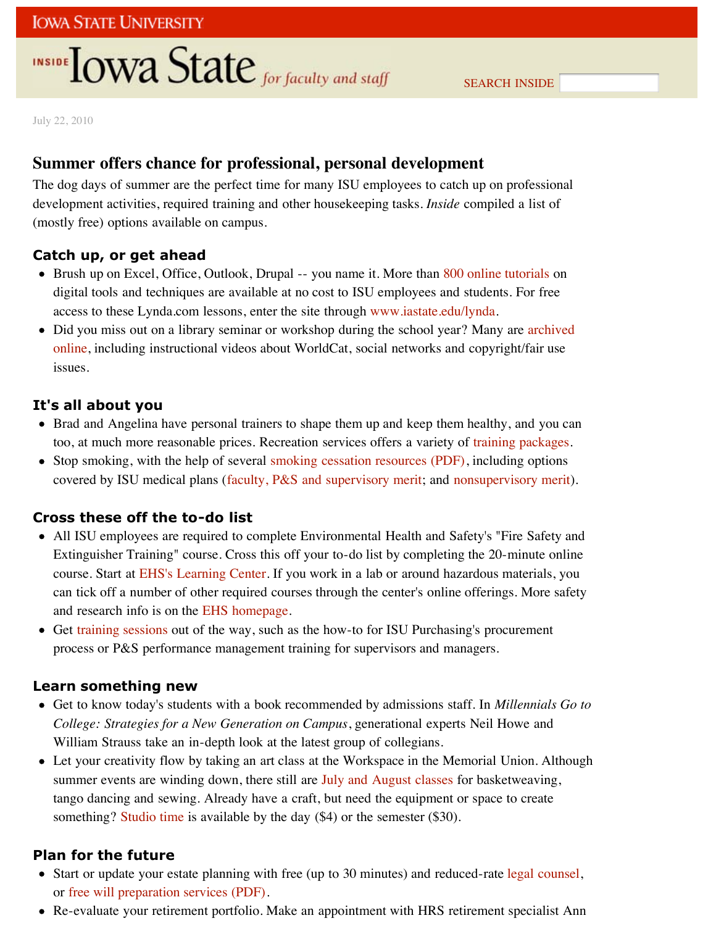# **INSIDE OWA State** for faculty and staff

July 22, 2010

## **Summer offers chance for professional, personal development**

The dog days of summer are the perfect time for many ISU employees to catch up on professional development activities, required training and other housekeeping tasks. *Inside* compiled a list of (mostly free) options available on campus.

### **Catch up, or get ahead**

- Brush up on Excel, Office, Outlook, Drupal -- you name it. More than 800 online tutorials on digital tools and techniques are available at no cost to ISU employees and students. For free access to these Lynda.com lessons, enter the site through www.iastate.edu/lynda.
- Did you miss out on a library seminar or workshop during the school year? Many are archived online, including instructional videos about WorldCat, social networks and copyright/fair use issues.

### **It's all about you**

- Brad and Angelina have personal trainers to shape them up and keep them healthy, and you can too, at much more reasonable prices. Recreation services offers a variety of training packages.
- Stop smoking, with the help of several smoking cessation resources (PDF), including options covered by ISU medical plans (faculty, P&S and supervisory merit; and nonsupervisory merit).

### **Cross these off the to-do list**

- All ISU employees are required to complete Environmental Health and Safety's "Fire Safety and Extinguisher Training" course. Cross this off your to-do list by completing the 20-minute online course. Start at EHS's Learning Center. If you work in a lab or around hazardous materials, you can tick off a number of other required courses through the center's online offerings. More safety and research info is on the EHS homepage.
- Get training sessions out of the way, such as the how-to for ISU Purchasing's procurement process or P&S performance management training for supervisors and managers.

### **Learn something new**

- Get to know today's students with a book recommended by admissions staff. In *Millennials Go to College: Strategies for a New Generation on Campus*, generational experts Neil Howe and William Strauss take an in-depth look at the latest group of collegians.
- Let your creativity flow by taking an art class at the Workspace in the Memorial Union. Although summer events are winding down, there still are July and August classes for basketweaving, tango dancing and sewing. Already have a craft, but need the equipment or space to create something? Studio time is available by the day (\$4) or the semester (\$30).

### **Plan for the future**

- Start or update your estate planning with free (up to 30 minutes) and reduced-rate legal counsel, or free will preparation services (PDF).
- Re-evaluate your retirement portfolio. Make an appointment with HRS retirement specialist Ann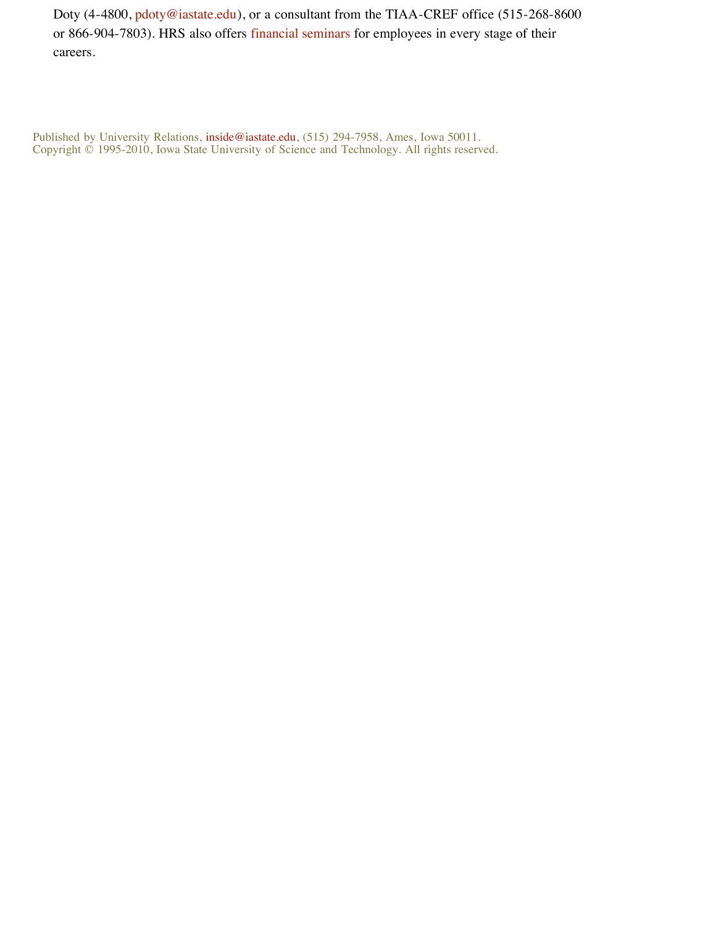Doty (4-4800, pdoty@iastate.edu), or a consultant from the TIAA-CREF office (515-268-8600 or 866-904-7803). HRS also offers financial seminars for employees in every stage of their careers.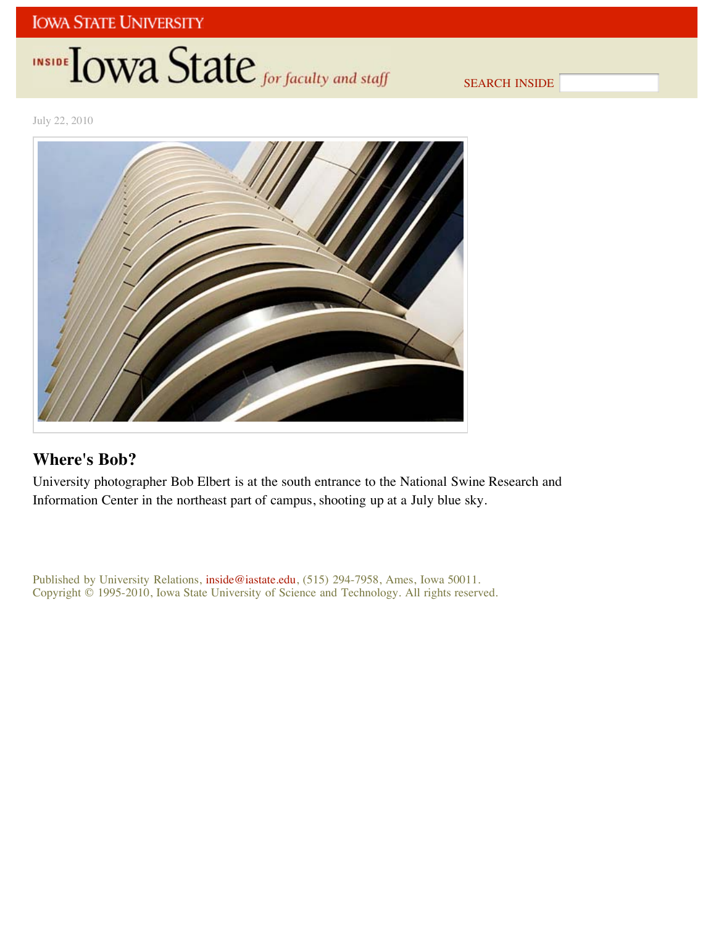# INSIDE TOWA State for faculty and staff

SEARCH INSIDE

July 22, 2010



## **Where's Bob?**

University photographer Bob Elbert is at the south entrance to the National Swine Research and Information Center in the northeast part of campus, shooting up at a July blue sky.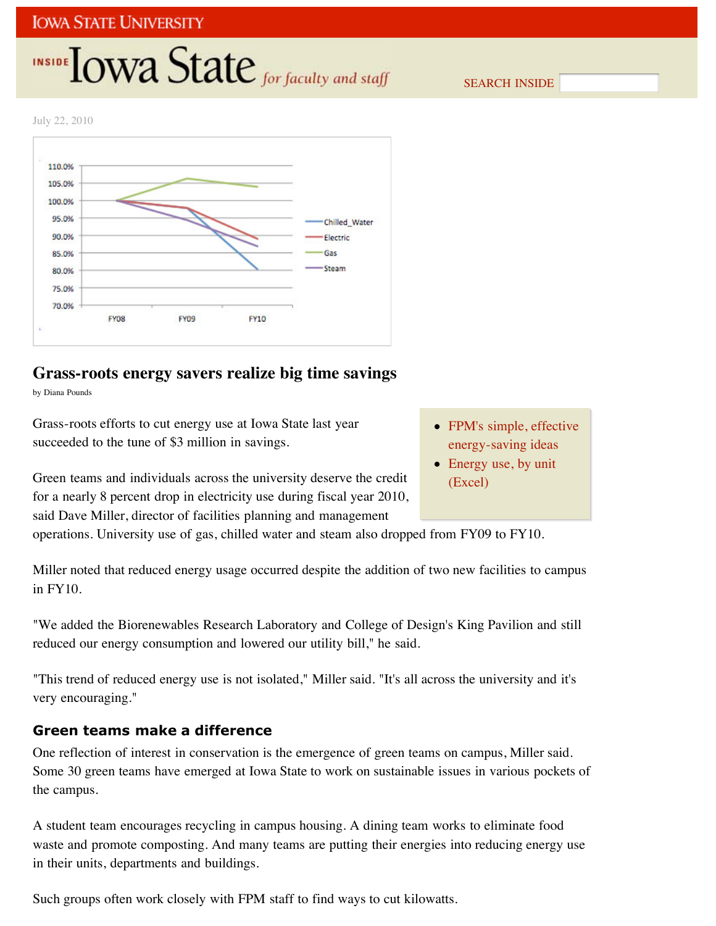# **INSIDE OWA State** for faculty and staff

SEARCH INSIDE

July 22, 2010



## **Grass-roots energy savers realize big time savings**

by Diana Pounds

Grass-roots efforts to cut energy use at Iowa State last year succeeded to the tune of \$3 million in savings.

Green teams and individuals across the university deserve the credit for a nearly 8 percent drop in electricity use during fiscal year 2010, said Dave Miller, director of facilities planning and management

- FPM's simple, effective energy-saving ideas
- Energy use, by unit (Excel)

operations. University use of gas, chilled water and steam also dropped from FY09 to FY10.

Miller noted that reduced energy usage occurred despite the addition of two new facilities to campus in FY10.

"We added the Biorenewables Research Laboratory and College of Design's King Pavilion and still reduced our energy consumption and lowered our utility bill," he said.

"This trend of reduced energy use is not isolated," Miller said. "It's all across the university and it's very encouraging."

## **Green teams make a difference**

One reflection of interest in conservation is the emergence of green teams on campus, Miller said. Some 30 green teams have emerged at Iowa State to work on sustainable issues in various pockets of the campus.

A student team encourages recycling in campus housing. A dining team works to eliminate food waste and promote composting. And many teams are putting their energies into reducing energy use in their units, departments and buildings.

Such groups often work closely with FPM staff to find ways to cut kilowatts.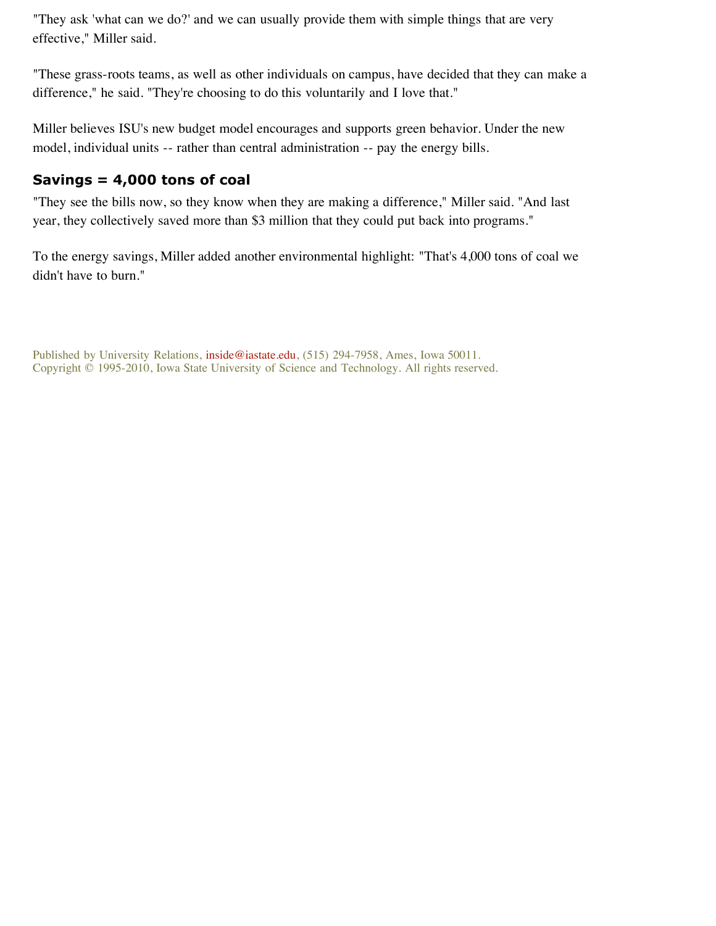"They ask 'what can we do?' and we can usually provide them with simple things that are very effective," Miller said.

"These grass-roots teams, as well as other individuals on campus, have decided that they can make a difference," he said. "They're choosing to do this voluntarily and I love that."

Miller believes ISU's new budget model encourages and supports green behavior. Under the new model, individual units -- rather than central administration -- pay the energy bills.

## **Savings = 4,000 tons of coal**

"They see the bills now, so they know when they are making a difference," Miller said. "And last year, they collectively saved more than \$3 million that they could put back into programs."

To the energy savings, Miller added another environmental highlight: "That's 4,000 tons of coal we didn't have to burn."